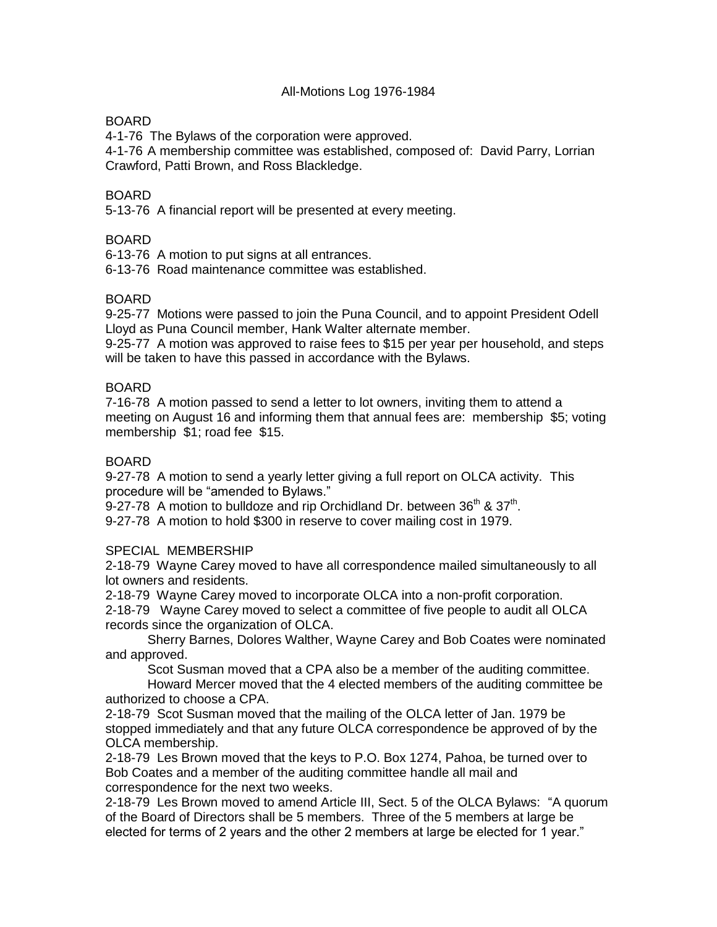## All-Motions Log 1976-1984

## BOARD

4-1-76 The Bylaws of the corporation were approved.

4-1-76 A membership committee was established, composed of: David Parry, Lorrian Crawford, Patti Brown, and Ross Blackledge.

## BOARD

5-13-76 A financial report will be presented at every meeting.

### BOARD

6-13-76 A motion to put signs at all entrances.

6-13-76 Road maintenance committee was established.

### BOARD

9-25-77 Motions were passed to join the Puna Council, and to appoint President Odell Lloyd as Puna Council member, Hank Walter alternate member.

9-25-77 A motion was approved to raise fees to \$15 per year per household, and steps will be taken to have this passed in accordance with the Bylaws.

### BOARD

7-16-78 A motion passed to send a letter to lot owners, inviting them to attend a meeting on August 16 and informing them that annual fees are: membership \$5; voting membership \$1; road fee \$15.

### BOARD

9-27-78 A motion to send a yearly letter giving a full report on OLCA activity. This procedure will be "amended to Bylaws."

9-27-78 A motion to bulldoze and rip Orchidland Dr. between  $36<sup>th</sup>$  &  $37<sup>th</sup>$ .

9-27-78 A motion to hold \$300 in reserve to cover mailing cost in 1979.

#### SPECIAL MEMBERSHIP

2-18-79 Wayne Carey moved to have all correspondence mailed simultaneously to all lot owners and residents.

2-18-79 Wayne Carey moved to incorporate OLCA into a non-profit corporation.

2-18-79 Wayne Carey moved to select a committee of five people to audit all OLCA records since the organization of OLCA.

Sherry Barnes, Dolores Walther, Wayne Carey and Bob Coates were nominated and approved.

Scot Susman moved that a CPA also be a member of the auditing committee.

Howard Mercer moved that the 4 elected members of the auditing committee be authorized to choose a CPA.

2-18-79 Scot Susman moved that the mailing of the OLCA letter of Jan. 1979 be stopped immediately and that any future OLCA correspondence be approved of by the OLCA membership.

2-18-79 Les Brown moved that the keys to P.O. Box 1274, Pahoa, be turned over to Bob Coates and a member of the auditing committee handle all mail and correspondence for the next two weeks.

2-18-79 Les Brown moved to amend Article III, Sect. 5 of the OLCA Bylaws: "A quorum of the Board of Directors shall be 5 members. Three of the 5 members at large be elected for terms of 2 years and the other 2 members at large be elected for 1 year."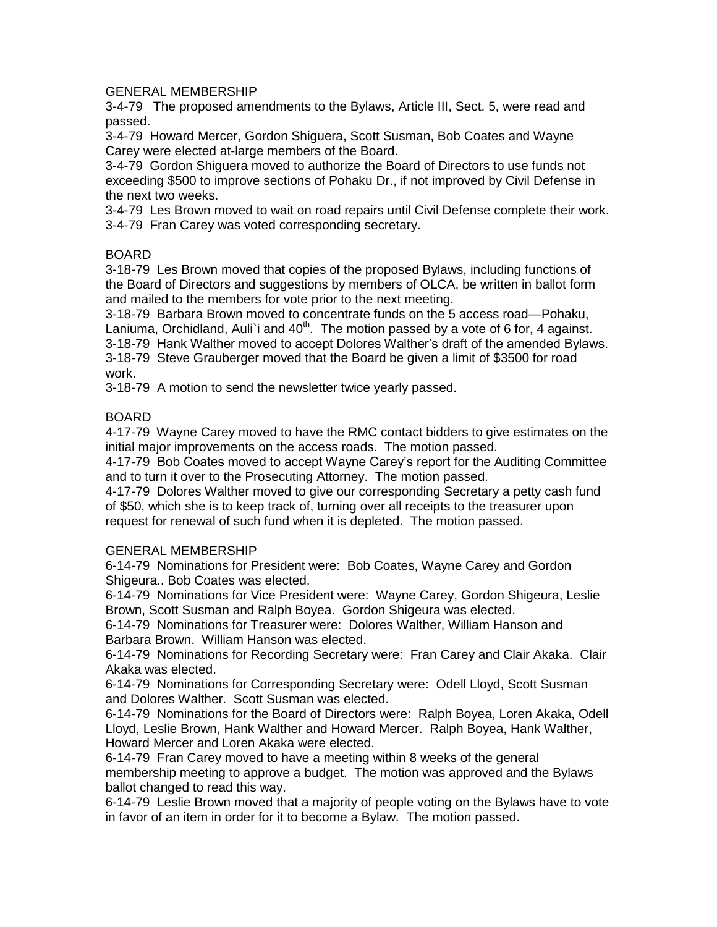### GENERAL MEMBERSHIP

3-4-79 The proposed amendments to the Bylaws, Article III, Sect. 5, were read and passed.

3-4-79 Howard Mercer, Gordon Shiguera, Scott Susman, Bob Coates and Wayne Carey were elected at-large members of the Board.

3-4-79 Gordon Shiguera moved to authorize the Board of Directors to use funds not exceeding \$500 to improve sections of Pohaku Dr., if not improved by Civil Defense in the next two weeks.

3-4-79 Les Brown moved to wait on road repairs until Civil Defense complete their work. 3-4-79 Fran Carey was voted corresponding secretary.

### BOARD

3-18-79 Les Brown moved that copies of the proposed Bylaws, including functions of the Board of Directors and suggestions by members of OLCA, be written in ballot form and mailed to the members for vote prior to the next meeting.

3-18-79 Barbara Brown moved to concentrate funds on the 5 access road—Pohaku, Laniuma, Orchidland, Auli'i and  $40<sup>th</sup>$ . The motion passed by a vote of 6 for, 4 against. 3-18-79 Hank Walther moved to accept Dolores Walther's draft of the amended Bylaws. 3-18-79 Steve Grauberger moved that the Board be given a limit of \$3500 for road work.

3-18-79 A motion to send the newsletter twice yearly passed.

### BOARD

4-17-79 Wayne Carey moved to have the RMC contact bidders to give estimates on the initial major improvements on the access roads. The motion passed.

4-17-79 Bob Coates moved to accept Wayne Carey's report for the Auditing Committee and to turn it over to the Prosecuting Attorney. The motion passed.

4-17-79 Dolores Walther moved to give our corresponding Secretary a petty cash fund of \$50, which she is to keep track of, turning over all receipts to the treasurer upon request for renewal of such fund when it is depleted. The motion passed.

#### GENERAL MEMBERSHIP

6-14-79 Nominations for President were: Bob Coates, Wayne Carey and Gordon Shigeura.. Bob Coates was elected.

6-14-79 Nominations for Vice President were: Wayne Carey, Gordon Shigeura, Leslie Brown, Scott Susman and Ralph Boyea. Gordon Shigeura was elected.

6-14-79 Nominations for Treasurer were: Dolores Walther, William Hanson and Barbara Brown. William Hanson was elected.

6-14-79 Nominations for Recording Secretary were: Fran Carey and Clair Akaka. Clair Akaka was elected.

6-14-79 Nominations for Corresponding Secretary were: Odell Lloyd, Scott Susman and Dolores Walther. Scott Susman was elected.

6-14-79 Nominations for the Board of Directors were: Ralph Boyea, Loren Akaka, Odell Lloyd, Leslie Brown, Hank Walther and Howard Mercer. Ralph Boyea, Hank Walther, Howard Mercer and Loren Akaka were elected.

6-14-79 Fran Carey moved to have a meeting within 8 weeks of the general membership meeting to approve a budget. The motion was approved and the Bylaws ballot changed to read this way.

6-14-79 Leslie Brown moved that a majority of people voting on the Bylaws have to vote in favor of an item in order for it to become a Bylaw. The motion passed.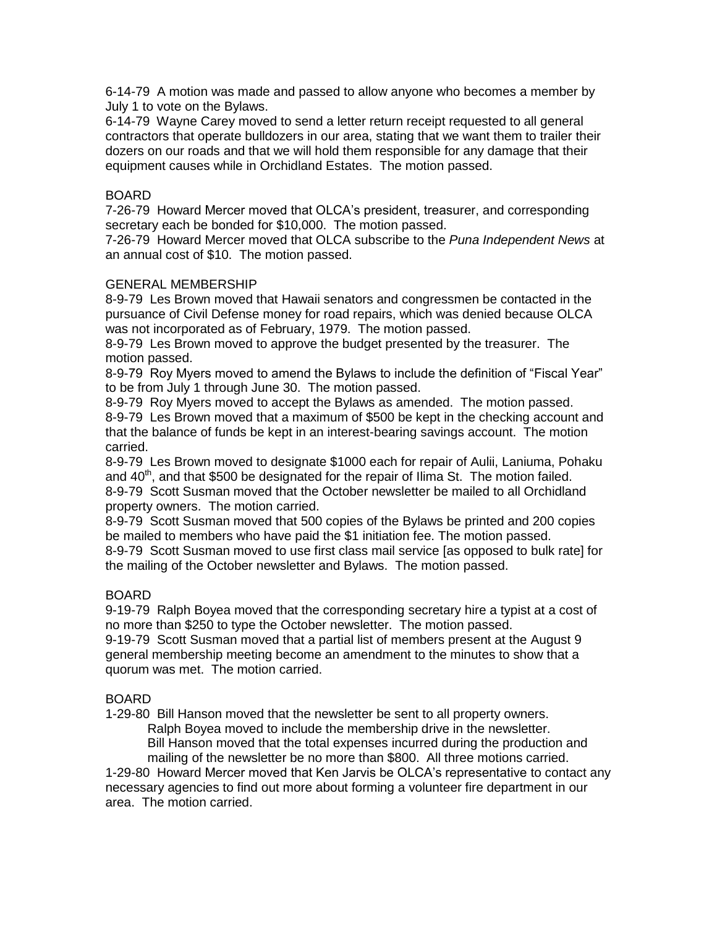6-14-79 A motion was made and passed to allow anyone who becomes a member by July 1 to vote on the Bylaws.

6-14-79 Wayne Carey moved to send a letter return receipt requested to all general contractors that operate bulldozers in our area, stating that we want them to trailer their dozers on our roads and that we will hold them responsible for any damage that their equipment causes while in Orchidland Estates. The motion passed.

## BOARD

7-26-79 Howard Mercer moved that OLCA's president, treasurer, and corresponding secretary each be bonded for \$10,000. The motion passed.

7-26-79 Howard Mercer moved that OLCA subscribe to the *Puna Independent News* at an annual cost of \$10. The motion passed.

### GENERAL MEMBERSHIP

8-9-79 Les Brown moved that Hawaii senators and congressmen be contacted in the pursuance of Civil Defense money for road repairs, which was denied because OLCA was not incorporated as of February, 1979. The motion passed.

8-9-79 Les Brown moved to approve the budget presented by the treasurer. The motion passed.

8-9-79 Roy Myers moved to amend the Bylaws to include the definition of "Fiscal Year" to be from July 1 through June 30. The motion passed.

8-9-79 Roy Myers moved to accept the Bylaws as amended. The motion passed. 8-9-79 Les Brown moved that a maximum of \$500 be kept in the checking account and that the balance of funds be kept in an interest-bearing savings account. The motion carried.

8-9-79 Les Brown moved to designate \$1000 each for repair of Aulii, Laniuma, Pohaku and  $40<sup>th</sup>$ , and that \$500 be designated for the repair of Ilima St. The motion failed. 8-9-79 Scott Susman moved that the October newsletter be mailed to all Orchidland property owners. The motion carried.

8-9-79 Scott Susman moved that 500 copies of the Bylaws be printed and 200 copies be mailed to members who have paid the \$1 initiation fee. The motion passed. 8-9-79 Scott Susman moved to use first class mail service [as opposed to bulk rate] for the mailing of the October newsletter and Bylaws. The motion passed.

# BOARD

9-19-79 Ralph Boyea moved that the corresponding secretary hire a typist at a cost of no more than \$250 to type the October newsletter. The motion passed. 9-19-79 Scott Susman moved that a partial list of members present at the August 9 general membership meeting become an amendment to the minutes to show that a quorum was met. The motion carried.

# BOARD

1-29-80 Bill Hanson moved that the newsletter be sent to all property owners.

Ralph Boyea moved to include the membership drive in the newsletter.

Bill Hanson moved that the total expenses incurred during the production and mailing of the newsletter be no more than \$800. All three motions carried.

1-29-80 Howard Mercer moved that Ken Jarvis be OLCA's representative to contact any necessary agencies to find out more about forming a volunteer fire department in our area. The motion carried.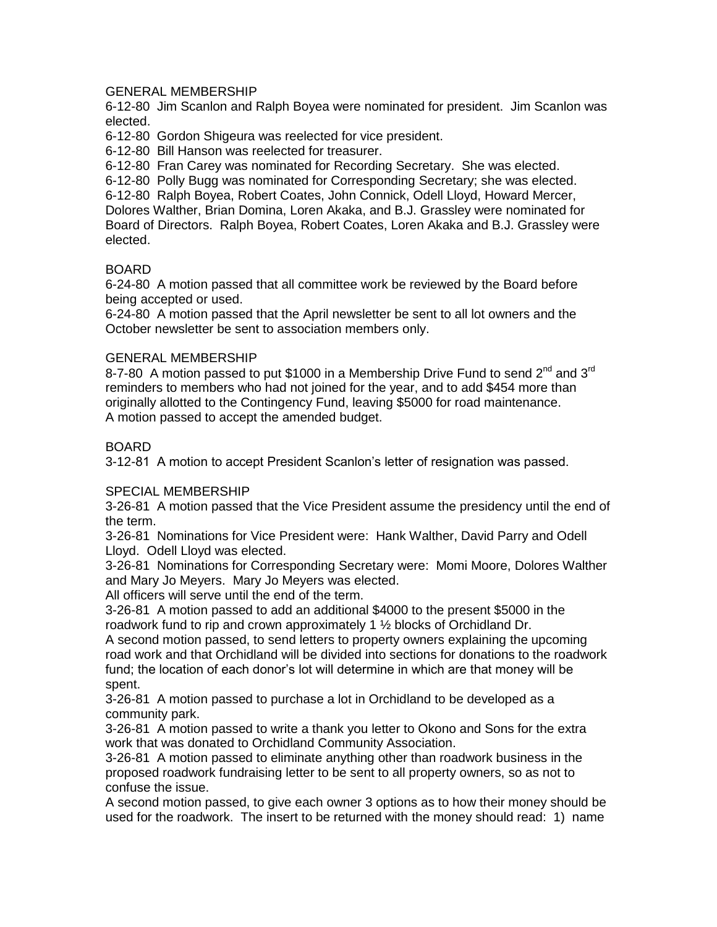## GENERAL MEMBERSHIP

6-12-80 Jim Scanlon and Ralph Boyea were nominated for president. Jim Scanlon was elected.

6-12-80 Gordon Shigeura was reelected for vice president.

6-12-80 Bill Hanson was reelected for treasurer.

6-12-80 Fran Carey was nominated for Recording Secretary. She was elected.

6-12-80 Polly Bugg was nominated for Corresponding Secretary; she was elected. 6-12-80 Ralph Boyea, Robert Coates, John Connick, Odell Lloyd, Howard Mercer, Dolores Walther, Brian Domina, Loren Akaka, and B.J. Grassley were nominated for Board of Directors. Ralph Boyea, Robert Coates, Loren Akaka and B.J. Grassley were elected.

# BOARD

6-24-80 A motion passed that all committee work be reviewed by the Board before being accepted or used.

6-24-80 A motion passed that the April newsletter be sent to all lot owners and the October newsletter be sent to association members only.

### GENERAL MEMBERSHIP

8-7-80 A motion passed to put \$1000 in a Membership Drive Fund to send  $2^{nd}$  and  $3^{rd}$ reminders to members who had not joined for the year, and to add \$454 more than originally allotted to the Contingency Fund, leaving \$5000 for road maintenance. A motion passed to accept the amended budget.

### BOARD

3-12-81 A motion to accept President Scanlon's letter of resignation was passed.

# SPECIAL MEMBERSHIP

3-26-81 A motion passed that the Vice President assume the presidency until the end of the term.

3-26-81 Nominations for Vice President were: Hank Walther, David Parry and Odell Lloyd. Odell Lloyd was elected.

3-26-81 Nominations for Corresponding Secretary were: Momi Moore, Dolores Walther and Mary Jo Meyers. Mary Jo Meyers was elected.

All officers will serve until the end of the term.

3-26-81 A motion passed to add an additional \$4000 to the present \$5000 in the roadwork fund to rip and crown approximately 1 ½ blocks of Orchidland Dr.

A second motion passed, to send letters to property owners explaining the upcoming road work and that Orchidland will be divided into sections for donations to the roadwork fund; the location of each donor's lot will determine in which are that money will be spent.

3-26-81 A motion passed to purchase a lot in Orchidland to be developed as a community park.

3-26-81 A motion passed to write a thank you letter to Okono and Sons for the extra work that was donated to Orchidland Community Association.

3-26-81 A motion passed to eliminate anything other than roadwork business in the proposed roadwork fundraising letter to be sent to all property owners, so as not to confuse the issue.

A second motion passed, to give each owner 3 options as to how their money should be used for the roadwork. The insert to be returned with the money should read: 1) name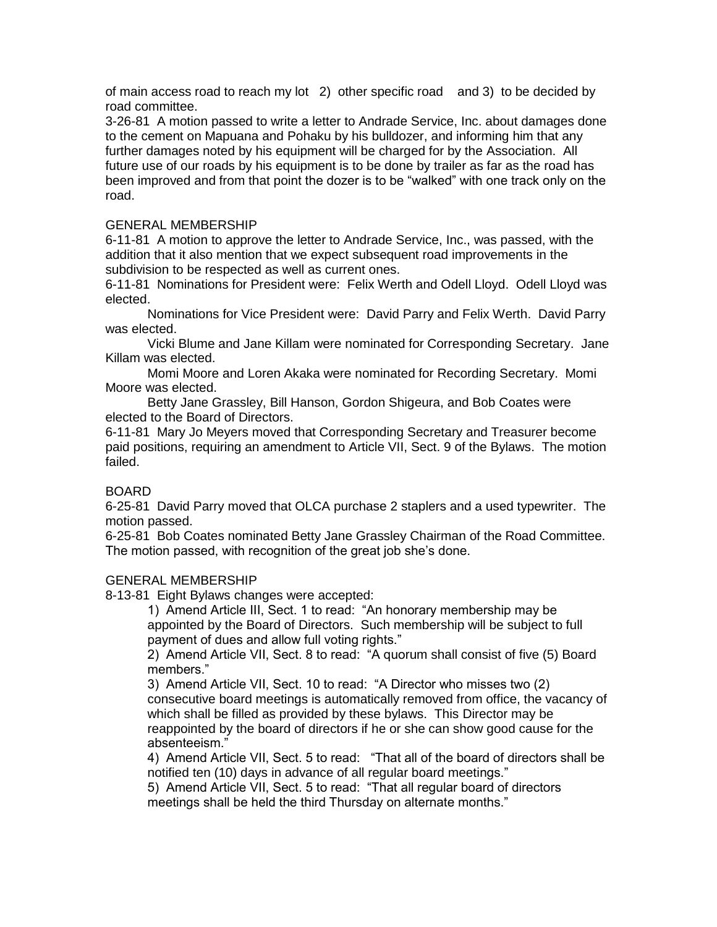of main access road to reach my lot 2) other specific road and 3) to be decided by road committee.

3-26-81 A motion passed to write a letter to Andrade Service, Inc. about damages done to the cement on Mapuana and Pohaku by his bulldozer, and informing him that any further damages noted by his equipment will be charged for by the Association. All future use of our roads by his equipment is to be done by trailer as far as the road has been improved and from that point the dozer is to be "walked" with one track only on the road.

## GENERAL MEMBERSHIP

6-11-81 A motion to approve the letter to Andrade Service, Inc., was passed, with the addition that it also mention that we expect subsequent road improvements in the subdivision to be respected as well as current ones.

6-11-81 Nominations for President were: Felix Werth and Odell Lloyd. Odell Lloyd was elected.

Nominations for Vice President were: David Parry and Felix Werth. David Parry was elected.

Vicki Blume and Jane Killam were nominated for Corresponding Secretary. Jane Killam was elected.

Momi Moore and Loren Akaka were nominated for Recording Secretary. Momi Moore was elected.

Betty Jane Grassley, Bill Hanson, Gordon Shigeura, and Bob Coates were elected to the Board of Directors.

6-11-81 Mary Jo Meyers moved that Corresponding Secretary and Treasurer become paid positions, requiring an amendment to Article VII, Sect. 9 of the Bylaws. The motion failed.

# BOARD

6-25-81 David Parry moved that OLCA purchase 2 staplers and a used typewriter. The motion passed.

6-25-81 Bob Coates nominated Betty Jane Grassley Chairman of the Road Committee. The motion passed, with recognition of the great job she's done.

## GENERAL MEMBERSHIP

8-13-81 Eight Bylaws changes were accepted:

1) Amend Article III, Sect. 1 to read: "An honorary membership may be appointed by the Board of Directors. Such membership will be subject to full payment of dues and allow full voting rights."

2) Amend Article VII, Sect. 8 to read: "A quorum shall consist of five (5) Board members."

3) Amend Article VII, Sect. 10 to read: "A Director who misses two (2) consecutive board meetings is automatically removed from office, the vacancy of which shall be filled as provided by these bylaws. This Director may be reappointed by the board of directors if he or she can show good cause for the absenteeism."

4) Amend Article VII, Sect. 5 to read: "That all of the board of directors shall be notified ten (10) days in advance of all regular board meetings."

5) Amend Article VII, Sect. 5 to read: "That all regular board of directors meetings shall be held the third Thursday on alternate months."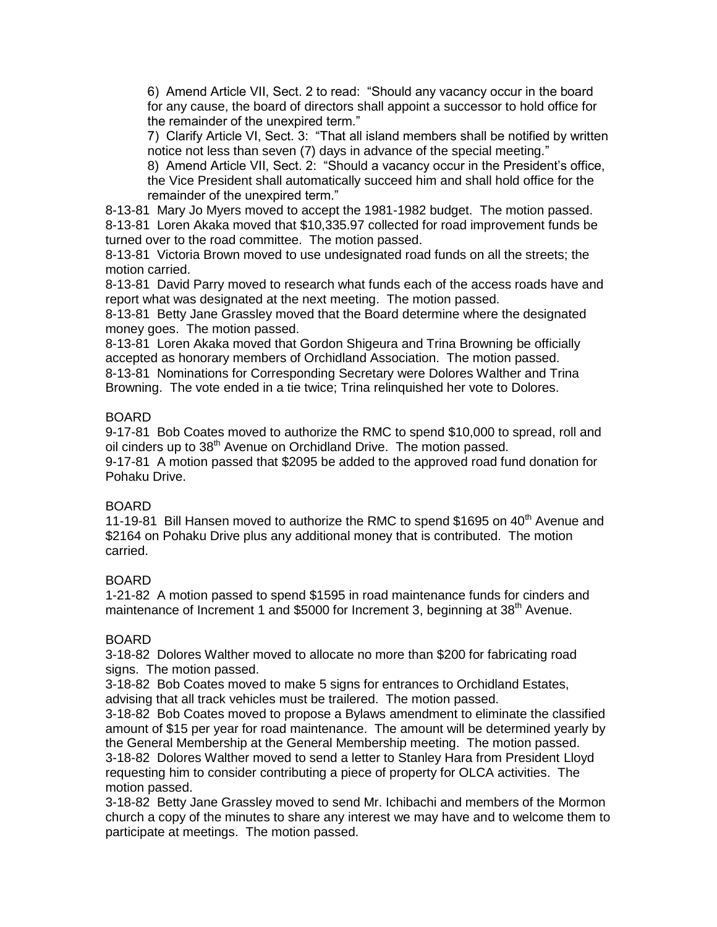6) Amend Article VII, Sect. 2 to read: "Should any vacancy occur in the board for any cause, the board of directors shall appoint a successor to hold office for the remainder of the unexpired term."

7) Clarify Article VI, Sect. 3: "That all island members shall be notified by written notice not less than seven (7) days in advance of the special meeting."

8) Amend Article VII, Sect. 2: "Should a vacancy occur in the President's office, the Vice President shall automatically succeed him and shall hold office for the remainder of the unexpired term."

8-13-81 Mary Jo Myers moved to accept the 1981-1982 budget. The motion passed. 8-13-81 Loren Akaka moved that \$10,335.97 collected for road improvement funds be turned over to the road committee. The motion passed.

8-13-81 Victoria Brown moved to use undesignated road funds on all the streets; the motion carried.

8-13-81 David Parry moved to research what funds each of the access roads have and report what was designated at the next meeting. The motion passed.

8-13-81 Betty Jane Grassley moved that the Board determine where the designated money goes. The motion passed.

8-13-81 Loren Akaka moved that Gordon Shigeura and Trina Browning be officially accepted as honorary members of Orchidland Association. The motion passed. 8-13-81 Nominations for Corresponding Secretary were Dolores Walther and Trina

Browning. The vote ended in a tie twice; Trina relinquished her vote to Dolores.

### BOARD

9-17-81 Bob Coates moved to authorize the RMC to spend \$10,000 to spread, roll and oil cinders up to 38<sup>th</sup> Avenue on Orchidland Drive. The motion passed.

9-17-81 A motion passed that \$2095 be added to the approved road fund donation for Pohaku Drive.

#### BOARD

11-19-81 Bill Hansen moved to authorize the RMC to spend \$1695 on  $40<sup>th</sup>$  Avenue and \$2164 on Pohaku Drive plus any additional money that is contributed. The motion carried.

# BOARD

1-21-82 A motion passed to spend \$1595 in road maintenance funds for cinders and maintenance of Increment 1 and \$5000 for Increment 3, beginning at 38<sup>th</sup> Avenue.

# BOARD

3-18-82 Dolores Walther moved to allocate no more than \$200 for fabricating road signs. The motion passed.

3-18-82 Bob Coates moved to make 5 signs for entrances to Orchidland Estates, advising that all track vehicles must be trailered. The motion passed.

3-18-82 Bob Coates moved to propose a Bylaws amendment to eliminate the classified amount of \$15 per year for road maintenance. The amount will be determined yearly by the General Membership at the General Membership meeting. The motion passed. 3-18-82 Dolores Walther moved to send a letter to Stanley Hara from President Lloyd

requesting him to consider contributing a piece of property for OLCA activities. The motion passed.

3-18-82 Betty Jane Grassley moved to send Mr. Ichibachi and members of the Mormon church a copy of the minutes to share any interest we may have and to welcome them to participate at meetings. The motion passed.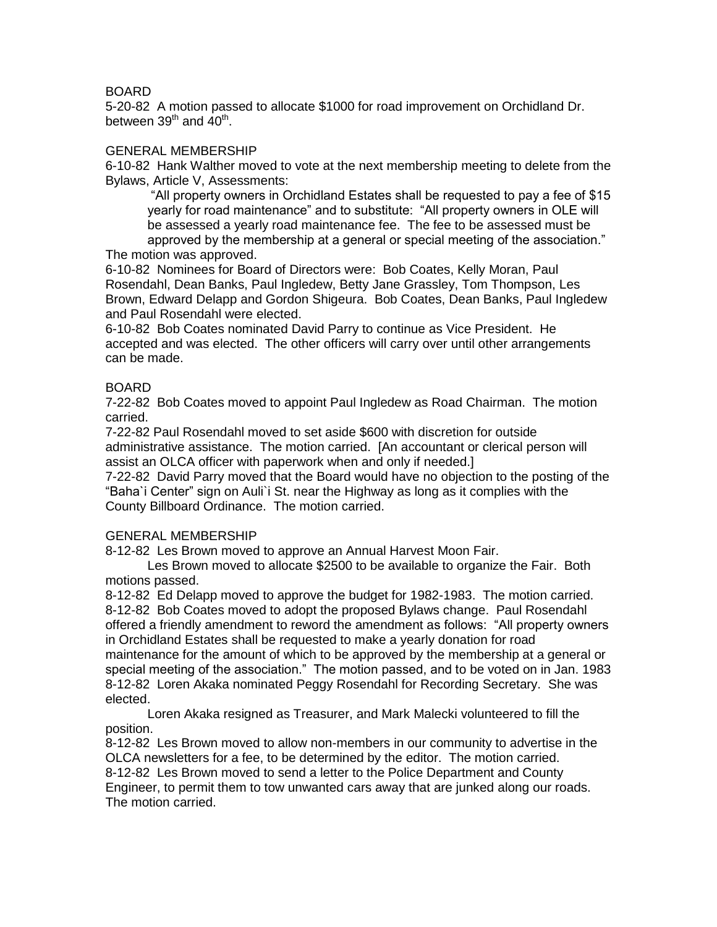## BOARD

5-20-82 A motion passed to allocate \$1000 for road improvement on Orchidland Dr. between 39<sup>th</sup> and 40<sup>th</sup>.

#### GENERAL MEMBERSHIP

6-10-82 Hank Walther moved to vote at the next membership meeting to delete from the Bylaws, Article V, Assessments:

"All property owners in Orchidland Estates shall be requested to pay a fee of \$15 yearly for road maintenance" and to substitute: "All property owners in OLE will be assessed a yearly road maintenance fee. The fee to be assessed must be approved by the membership at a general or special meeting of the association." The motion was approved.

6-10-82 Nominees for Board of Directors were: Bob Coates, Kelly Moran, Paul Rosendahl, Dean Banks, Paul Ingledew, Betty Jane Grassley, Tom Thompson, Les Brown, Edward Delapp and Gordon Shigeura. Bob Coates, Dean Banks, Paul Ingledew and Paul Rosendahl were elected.

6-10-82 Bob Coates nominated David Parry to continue as Vice President. He accepted and was elected. The other officers will carry over until other arrangements can be made.

#### BOARD

7-22-82 Bob Coates moved to appoint Paul Ingledew as Road Chairman. The motion carried.

7-22-82 Paul Rosendahl moved to set aside \$600 with discretion for outside administrative assistance. The motion carried. [An accountant or clerical person will assist an OLCA officer with paperwork when and only if needed.]

7-22-82 David Parry moved that the Board would have no objection to the posting of the "Baha`i Center" sign on Auli`i St. near the Highway as long as it complies with the County Billboard Ordinance. The motion carried.

#### GENERAL MEMBERSHIP

8-12-82 Les Brown moved to approve an Annual Harvest Moon Fair.

Les Brown moved to allocate \$2500 to be available to organize the Fair. Both motions passed.

8-12-82 Ed Delapp moved to approve the budget for 1982-1983. The motion carried. 8-12-82 Bob Coates moved to adopt the proposed Bylaws change. Paul Rosendahl offered a friendly amendment to reword the amendment as follows: "All property owners in Orchidland Estates shall be requested to make a yearly donation for road maintenance for the amount of which to be approved by the membership at a general or special meeting of the association." The motion passed, and to be voted on in Jan. 1983 8-12-82 Loren Akaka nominated Peggy Rosendahl for Recording Secretary. She was elected.

Loren Akaka resigned as Treasurer, and Mark Malecki volunteered to fill the position.

8-12-82 Les Brown moved to allow non-members in our community to advertise in the OLCA newsletters for a fee, to be determined by the editor. The motion carried. 8-12-82 Les Brown moved to send a letter to the Police Department and County Engineer, to permit them to tow unwanted cars away that are junked along our roads. The motion carried.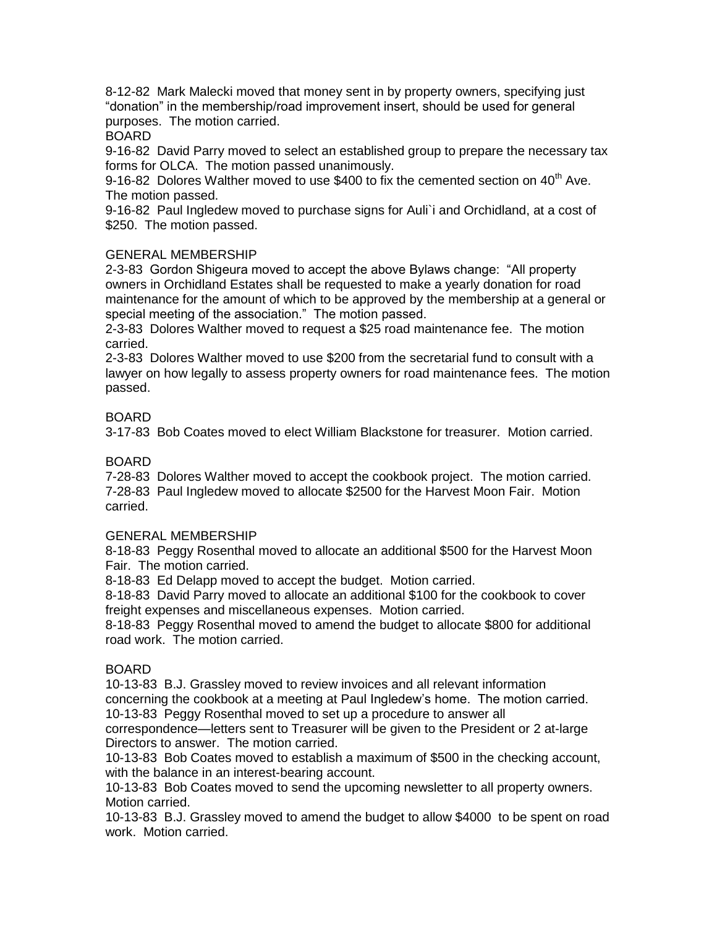8-12-82 Mark Malecki moved that money sent in by property owners, specifying just "donation" in the membership/road improvement insert, should be used for general purposes. The motion carried.

BOARD

9-16-82 David Parry moved to select an established group to prepare the necessary tax forms for OLCA. The motion passed unanimously.

9-16-82 Dolores Walther moved to use \$400 to fix the cemented section on  $40<sup>th</sup>$  Ave. The motion passed.

9-16-82 Paul Ingledew moved to purchase signs for Auli`i and Orchidland, at a cost of \$250. The motion passed.

# GENERAL MEMBERSHIP

2-3-83 Gordon Shigeura moved to accept the above Bylaws change: "All property owners in Orchidland Estates shall be requested to make a yearly donation for road maintenance for the amount of which to be approved by the membership at a general or special meeting of the association." The motion passed.

2-3-83 Dolores Walther moved to request a \$25 road maintenance fee. The motion carried.

2-3-83 Dolores Walther moved to use \$200 from the secretarial fund to consult with a lawyer on how legally to assess property owners for road maintenance fees. The motion passed.

# BOARD

3-17-83 Bob Coates moved to elect William Blackstone for treasurer. Motion carried.

### BOARD

7-28-83 Dolores Walther moved to accept the cookbook project. The motion carried. 7-28-83 Paul Ingledew moved to allocate \$2500 for the Harvest Moon Fair. Motion carried.

#### GENERAL MEMBERSHIP

8-18-83 Peggy Rosenthal moved to allocate an additional \$500 for the Harvest Moon Fair. The motion carried.

8-18-83 Ed Delapp moved to accept the budget. Motion carried.

8-18-83 David Parry moved to allocate an additional \$100 for the cookbook to cover freight expenses and miscellaneous expenses. Motion carried.

8-18-83 Peggy Rosenthal moved to amend the budget to allocate \$800 for additional road work. The motion carried.

#### BOARD

10-13-83 B.J. Grassley moved to review invoices and all relevant information concerning the cookbook at a meeting at Paul Ingledew's home. The motion carried. 10-13-83 Peggy Rosenthal moved to set up a procedure to answer all

correspondence—letters sent to Treasurer will be given to the President or 2 at-large Directors to answer. The motion carried.

10-13-83 Bob Coates moved to establish a maximum of \$500 in the checking account, with the balance in an interest-bearing account.

10-13-83 Bob Coates moved to send the upcoming newsletter to all property owners. Motion carried.

10-13-83 B.J. Grassley moved to amend the budget to allow \$4000 to be spent on road work. Motion carried.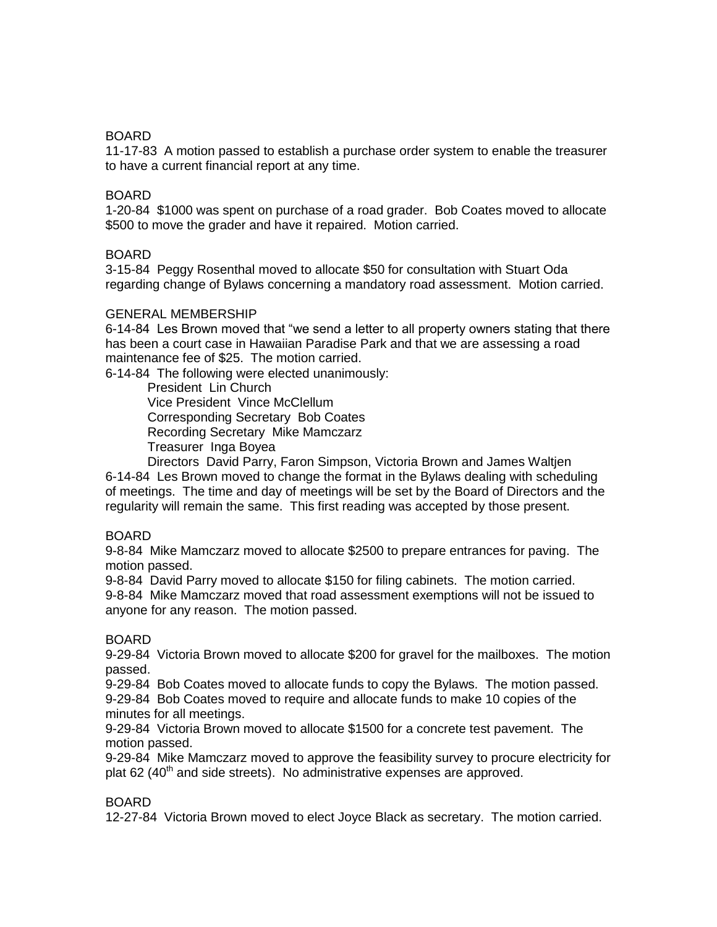### BOARD

11-17-83 A motion passed to establish a purchase order system to enable the treasurer to have a current financial report at any time.

#### BOARD

1-20-84 \$1000 was spent on purchase of a road grader. Bob Coates moved to allocate \$500 to move the grader and have it repaired. Motion carried.

#### BOARD

3-15-84 Peggy Rosenthal moved to allocate \$50 for consultation with Stuart Oda regarding change of Bylaws concerning a mandatory road assessment. Motion carried.

#### GENERAL MEMBERSHIP

6-14-84 Les Brown moved that "we send a letter to all property owners stating that there has been a court case in Hawaiian Paradise Park and that we are assessing a road maintenance fee of \$25. The motion carried.

6-14-84 The following were elected unanimously:

President Lin Church Vice President Vince McClellum Corresponding Secretary Bob Coates Recording Secretary Mike Mamczarz Treasurer Inga Boyea

Directors David Parry, Faron Simpson, Victoria Brown and James Waltjen 6-14-84 Les Brown moved to change the format in the Bylaws dealing with scheduling of meetings. The time and day of meetings will be set by the Board of Directors and the regularity will remain the same. This first reading was accepted by those present.

#### BOARD

9-8-84 Mike Mamczarz moved to allocate \$2500 to prepare entrances for paving. The motion passed.

9-8-84 David Parry moved to allocate \$150 for filing cabinets. The motion carried. 9-8-84 Mike Mamczarz moved that road assessment exemptions will not be issued to anyone for any reason. The motion passed.

#### BOARD

9-29-84 Victoria Brown moved to allocate \$200 for gravel for the mailboxes. The motion passed.

9-29-84 Bob Coates moved to allocate funds to copy the Bylaws. The motion passed. 9-29-84 Bob Coates moved to require and allocate funds to make 10 copies of the minutes for all meetings.

9-29-84 Victoria Brown moved to allocate \$1500 for a concrete test pavement. The motion passed.

9-29-84 Mike Mamczarz moved to approve the feasibility survey to procure electricity for plat 62  $(40<sup>th</sup>$  and side streets). No administrative expenses are approved.

#### BOARD

12-27-84 Victoria Brown moved to elect Joyce Black as secretary. The motion carried.